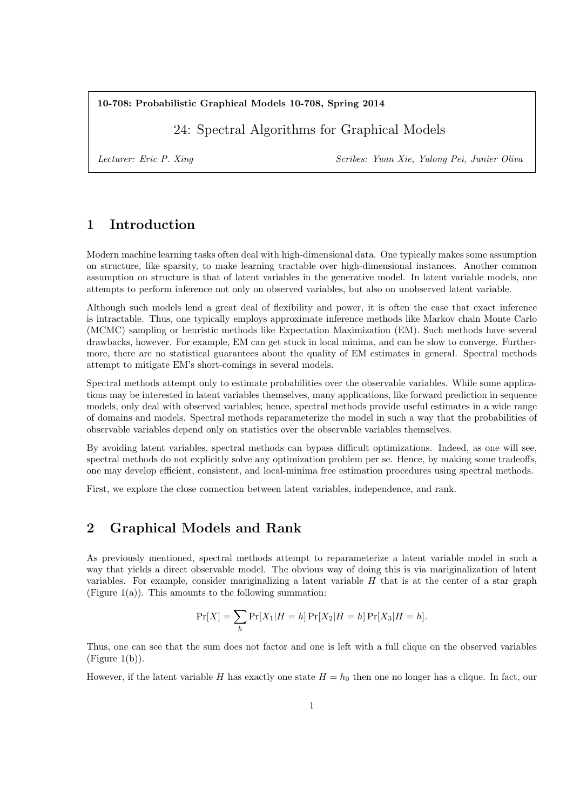### **10-708: Probabilistic Graphical Models 10-708, Spring 2014**

24: Spectral Algorithms for Graphical Models

*Lecturer: Eric P. Xing Scribes: Yuan Xie, Yulong Pei, Junier Oliva*

# **1 Introduction**

Modern machine learning tasks often deal with high-dimensional data. One typically makes some assumption on structure, like sparsity, to make learning tractable over high-dimensional instances. Another common assumption on structure is that of latent variables in the generative model. In latent variable models, one attempts to perform inference not only on observed variables, but also on unobserved latent variable.

Although such models lend a great deal of flexibility and power, it is often the case that exact inference is intractable. Thus, one typically employs approximate inference methods like Markov chain Monte Carlo (MCMC) sampling or heuristic methods like Expectation Maximization (EM). Such methods have several drawbacks, however. For example, EM can get stuck in local minima, and can be slow to converge. Furthermore, there are no statistical guarantees about the quality of EM estimates in general. Spectral methods attempt to mitigate EM's short-comings in several models.

Spectral methods attempt only to estimate probabilities over the observable variables. While some applications may be interested in latent variables themselves, many applications, like forward prediction in sequence models, only deal with observed variables; hence, spectral methods provide useful estimates in a wide range of domains and models. Spectral methods reparameterize the model in such a way that the probabilities of observable variables depend only on statistics over the observable variables themselves.

By avoiding latent variables, spectral methods can bypass difficult optimizations. Indeed, as one will see, spectral methods do not explicitly solve any optimization problem per se. Hence, by making some tradeoffs, one may develop efficient, consistent, and local-minima free estimation procedures using spectral methods.

First, we explore the close connection between latent variables, independence, and rank.

# **2 Graphical Models and Rank**

As previously mentioned, spectral methods attempt to reparameterize a latent variable model in such a way that yields a direct observable model. The obvious way of doing this is via mariginalization of latent variables. For example, consider mariginalizing a latent variable *H* that is at the center of a star graph (Figure 1(a)). This amounts to the following summation:

$$
\Pr[X] = \sum_{h} \Pr[X_1 | H = h] \Pr[X_2 | H = h] \Pr[X_3 | H = h].
$$

Thus, one can see that the sum does not factor and one is left with a full clique on the observed variables  $(Figure 1(b)).$ 

However, if the latent variable *H* has exactly one state  $H = h_0$  then one no longer has a clique. In fact, our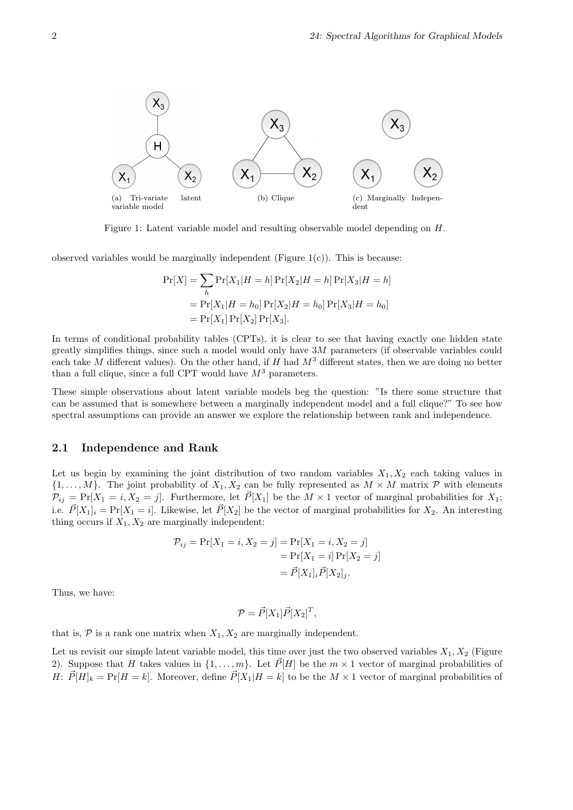

Figure 1: Latent variable model and resulting observable model depending on *H*.

observed variables would be marginally independent (Figure  $1(c)$ ). This is because:

$$
Pr[X] = \sum_{h} Pr[X_{1}|H=h] Pr[X_{2}|H=h] Pr[X_{3}|H=h]
$$
  
= 
$$
Pr[X_{1}|H=h_{0}] Pr[X_{2}|H=h_{0}] Pr[X_{3}|H=h_{0}]
$$
  
= 
$$
Pr[X_{1}] Pr[X_{2}] Pr[X_{3}].
$$

In terms of conditional probability tables (CPTs), it is clear to see that having exactly one hidden state greatly simplifies things, since such a model would only have 3*M* parameters (if observable variables could each take *M* different values). On the other hand, if *H* had *M*<sup>3</sup> different states, then we are doing no better than a full clique, since a full CPT would have  $M^3$  parameters.

These simple observations about latent variable models beg the question: "Is there some structure that can be assumed that is somewhere between a marginally independent model and a full clique?" To see how spectral assumptions can provide an answer we explore the relationship between rank and independence.

#### **2.1 Independence and Rank**

Let us begin by examining the joint distribution of two random variables  $X_1, X_2$  each taking values in  $\{1, \ldots, M\}$ . The joint probability of  $X_1, X_2$  can be fully represented as  $M \times M$  matrix  $P$  with elements  $\mathcal{P}_{ij} = \Pr[X_1 = i, X_2 = j]$ . Furthermore, let  $\vec{P}[X_1]$  be the  $M \times 1$  vector of marginal probabilities for  $X_1$ ; i.e.  $\vec{P}[X_1]_i = \Pr[X_1 = i]$ . Likewise, let  $\vec{P}[X_2]$  be the vector of marginal probabilities for  $X_2$ . An interesting thing occurs if  $X_1, X_2$  are marginally independent:

$$
\mathcal{P}_{ij} = \Pr[X_1 = i, X_2 = j] = \Pr[X_1 = i, X_2 = j] \\
= \Pr[X_1 = i] \Pr[X_2 = j] \\
= \vec{P}[X_1]_i \vec{P}[X_2]_j.
$$

Thus, we have:

$$
\mathcal{P} = \vec{P}[X_1]\vec{P}[X_2]^T,
$$

that is,  $P$  is a rank one matrix when  $X_1, X_2$  are marginally independent.

Let us revisit our simple latent variable model, this time over just the two observed variables  $X_1, X_2$  (Figure 2). Suppose that *H* takes values in  $\{1, \ldots, m\}$ . Let  $\vec{P}[H]$  be the  $m \times 1$  vector of marginal probabilities of *H*:  $\vec{P}[H]_k = \Pr[H = k]$ . Moreover, define  $\vec{P}[X_1|H = k]$  to be the  $M \times 1$  vector of marginal probabilities of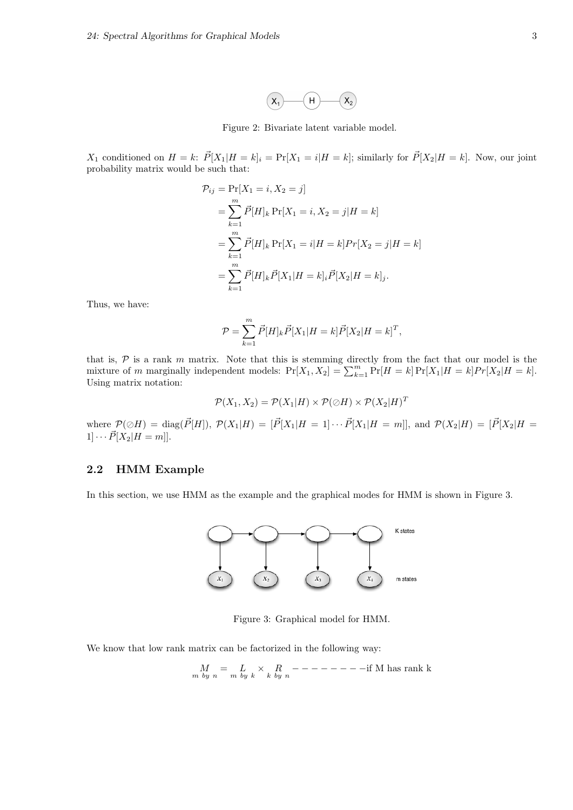

Figure 2: Bivariate latent variable model.

 $X_1$  conditioned on  $H = k$ :  $\vec{P}[X_1 | H = k]_i = \Pr[X_1 = i | H = k]$ ; similarly for  $\vec{P}[X_2 | H = k]$ . Now, our joint probability matrix would be such that:

$$
\mathcal{P}_{ij} = \Pr[X_1 = i, X_2 = j]
$$
  
=  $\sum_{k=1}^{m} \vec{P}[H]_k \Pr[X_1 = i, X_2 = j | H = k]$   
=  $\sum_{k=1}^{m} \vec{P}[H]_k \Pr[X_1 = i | H = k] Pr[X_2 = j | H = k]$   
=  $\sum_{k=1}^{m} \vec{P}[H]_k \vec{P}[X_1 | H = k]_i \vec{P}[X_2 | H = k]_j$ .

Thus, we have:

$$
\mathcal{P} = \sum_{k=1}^{m} \vec{P}[H]_k \vec{P}[X_1 | H = k] \vec{P}[X_2 | H = k]^T,
$$

that is, *P* is a rank *m* matrix. Note that this is stemming directly from the fact that our model is the mixture of *m* marginally independent models:  $Pr[X_1, X_2] = \sum_{k=1}^{m} Pr[H = k] Pr[X_1|H = k] Pr[X_2|H = k].$ Using matrix notation:

$$
\mathcal{P}(X_1,X_2)=\mathcal{P}(X_1|H)\times\mathcal{P}(\oslash H)\times\mathcal{P}(X_2|H)^T
$$

where  $\mathcal{P}(\emptyset H) = \text{diag}(\vec{P}[H]), \ \mathcal{P}(X_1|H) = [\vec{P}[X_1|H=1] \cdots \vec{P}[X_1|H=m]],$  and  $\mathcal{P}(X_2|H) = [\vec{P}[X_2|H=1] \cdots \vec{P}[X_1|H=1] \cdots \vec{P}[X_1|H=1]$  $1] \cdots \vec{P}[X_2|H=m]$ .

## **2.2 HMM Example**

In this section, we use HMM as the example and the graphical modes for HMM is shown in Figure 3.



Figure 3: Graphical model for HMM.

We know that low rank matrix can be factorized in the following way:

$$
\underset{m\text{ by }n}{M}=\underset{m\text{ by }k}{L}\times\underset{k\text{ by }n}{R}-------i\text{f M has rank k}
$$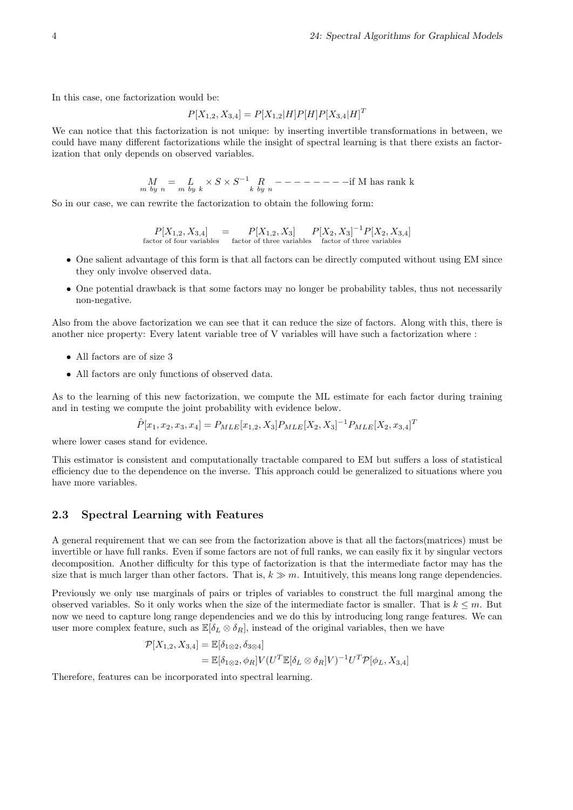In this case, one factorization would be:

$$
P[X_{1,2}, X_{3,4}] = P[X_{1,2}|H]P[H]P[X_{3,4}|H]^T
$$

We can notice that this factorization is not unique: by inserting invertible transformations in between, we could have many different factorizations while the insight of spectral learning is that there exists an factorization that only depends on observed variables.

*M m by n* = *L m by k × S × S <sup>−</sup>*<sup>1</sup> *R k by n − − − − − − − −*if M has rank k

So in our case, we can rewrite the factorization to obtain the following form:

$$
P[X_{1,2}, X_{3,4}] = P[X_{1,2}, X_3] P[X_2, X_3]^{-1} P[X_2, X_{3,4}]
$$
  
factor of four variables factor of three variables factor of three variables

- One salient advantage of this form is that all factors can be directly computed without using EM since they only involve observed data.
- One potential drawback is that some factors may no longer be probability tables, thus not necessarily non-negative.

Also from the above factorization we can see that it can reduce the size of factors. Along with this, there is another nice property: Every latent variable tree of V variables will have such a factorization where :

- *•* All factors are of size 3
- *•* All factors are only functions of observed data.

As to the learning of this new factorization, we compute the ML estimate for each factor during training and in testing we compute the joint probability with evidence below.

$$
\hat{P}[x_1, x_2, x_3, x_4] = P_{MLE}[x_{1,2}, X_3]P_{MLE}[X_2, X_3]^{-1}P_{MLE}[X_2, x_{3,4}]^T
$$

where lower cases stand for evidence.

This estimator is consistent and computationally tractable compared to EM but suffers a loss of statistical efficiency due to the dependence on the inverse. This approach could be generalized to situations where you have more variables.

### **2.3 Spectral Learning with Features**

A general requirement that we can see from the factorization above is that all the factors(matrices) must be invertible or have full ranks. Even if some factors are not of full ranks, we can easily fix it by singular vectors decomposition. Another difficulty for this type of factorization is that the intermediate factor may has the size that is much larger than other factors. That is,  $k \gg m$ . Intuitively, this means long range dependencies.

Previously we only use marginals of pairs or triples of variables to construct the full marginal among the observed variables. So it only works when the size of the intermediate factor is smaller. That is  $k \leq m$ . But now we need to capture long range dependencies and we do this by introducing long range features. We can user more complex feature, such as  $\mathbb{E}[\delta_L \otimes \delta_R]$ , instead of the original variables, then we have

$$
\mathcal{P}[X_{1,2}, X_{3,4}] = \mathbb{E}[\delta_{1 \otimes 2}, \delta_{3 \otimes 4}]
$$
  
=  $\mathbb{E}[\delta_{1 \otimes 2}, \phi_R] V (U^T \mathbb{E}[\delta_L \otimes \delta_R] V)^{-1} U^T \mathcal{P}[\phi_L, X_{3,4}]$ 

Therefore, features can be incorporated into spectral learning.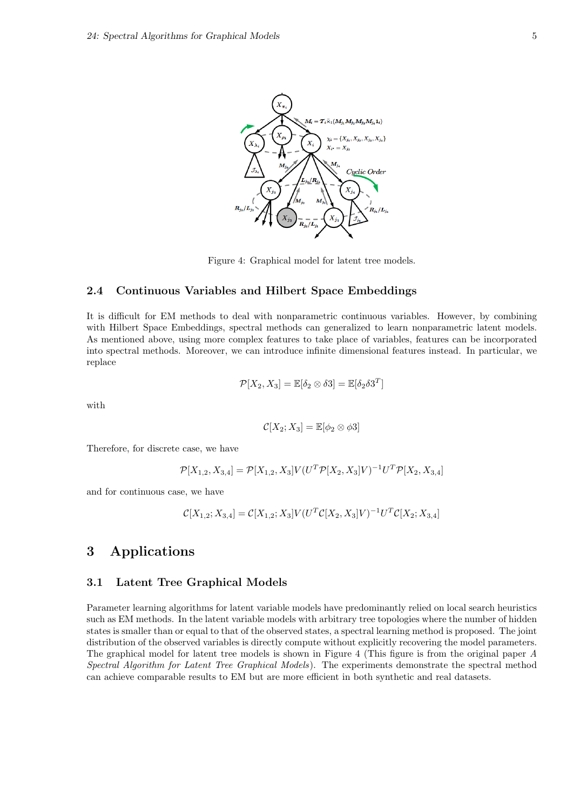

Figure 4: Graphical model for latent tree models.

## **2.4 Continuous Variables and Hilbert Space Embeddings**

It is difficult for EM methods to deal with nonparametric continuous variables. However, by combining with Hilbert Space Embeddings, spectral methods can generalized to learn nonparametric latent models. As mentioned above, using more complex features to take place of variables, features can be incorporated into spectral methods. Moreover, we can introduce infinite dimensional features instead. In particular, we replace

$$
\mathcal{P}[X_2, X_3] = \mathbb{E}[\delta_2 \otimes \delta 3] = \mathbb{E}[\delta_2 \delta 3^T]
$$

with

$$
\mathcal{C}[X_2; X_3] = \mathbb{E}[\phi_2 \otimes \phi 3]
$$

Therefore, for discrete case, we have

$$
\mathcal{P}[X_{1,2}, X_{3,4}] = \mathcal{P}[X_{1,2}, X_3]V(U^T \mathcal{P}[X_2, X_3]V)^{-1}U^T \mathcal{P}[X_2, X_{3,4}]
$$

and for continuous case, we have

$$
\mathcal{C}[X_{1,2}; X_{3,4}] = \mathcal{C}[X_{1,2}; X_3]V(U^T\mathcal{C}[X_2, X_3]V)^{-1}U^T\mathcal{C}[X_2; X_{3,4}]
$$

## **3 Applications**

#### **3.1 Latent Tree Graphical Models**

Parameter learning algorithms for latent variable models have predominantly relied on local search heuristics such as EM methods. In the latent variable models with arbitrary tree topologies where the number of hidden states is smaller than or equal to that of the observed states, a spectral learning method is proposed. The joint distribution of the observed variables is directly compute without explicitly recovering the model parameters. The graphical model for latent tree models is shown in Figure 4 (This figure is from the original paper *A Spectral Algorithm for Latent Tree Graphical Models*). The experiments demonstrate the spectral method can achieve comparable results to EM but are more efficient in both synthetic and real datasets.